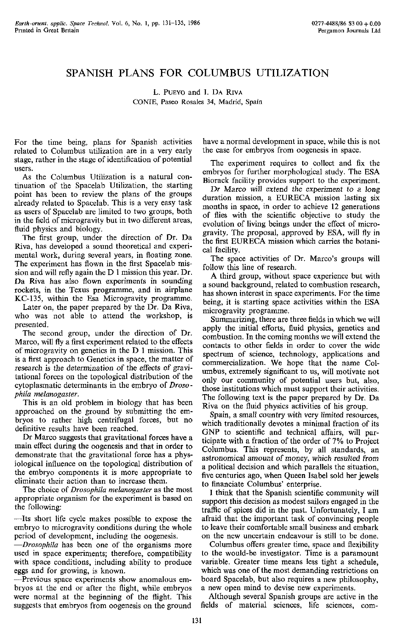## SPANISH PLANS FOF COLUMBUS UTILIZATION

L. PUEYO and I. DA RIVA COME, Paseo 34, Madrid, Spain

For the time being, plans for Spanish activities related to Columbus utilization are in a very early stage, rather in the stage of identification of potential users.

As the Columbus Utilization is a natural continuation of the Spacelab Utilization, the starting point has been to review the plans of the groups already related to Spacelab. This is a very easy task as users of Spacelab are limited to two groups, both in the field of microgravity but in two different areas, fluid physics and biology.

The first group, under the direction of Dr. Da Riva, has developed a sound theoretical and experimental work, during several years, in floating zone. The experiment has flown in the first Spacelab mission and will refly again the D 1 mission this year. Dr. Da Riva has also flown experiments in sounding rockets, in the Texus programme, and in airplane KC-135, within the Esa Microgravity programme.

Later on, the paper prepared by the Dr. Da Riva, who was not able to attend the workshop, is presented.

The second group, under the direction of Dr. Marco, will fly a first experiment related to the effects of microgravity on genetics in the D 1 mission. This is a first approach to Genetics in space, the matter of research is the determination of the effects of gravitational forces on the topological distribution of the cytoplasmatic determinants in the embryo of *Droso phila melanogaster.* 

This is an old problem in biology that has been approached on the ground by submitting the embryos to rather high centrifugal forces, but no definitive results have been reached.

Dr Marco suggests that gravitational forces have a main effect during the oogenesis and that in order to demonstrate that the gravitational force has a physiological influence on the topological distribution of the embryo components it is more appropriate to eliminate their action than to increase them.

The choice of *Drosophila melanogaster* as the most appropriate organism for the experiment is based on the following:

—Its short life cycle makes possible to expose the embryo to microgravity conditions during the whole period of development, including the oogenesis.

—*Drosophila* has been one of the organisms more used in space experiments; therefore, compatibility with space conditions, including ability to produce eggs and for growing, is known.

—Previous space experiments show anomalous embryos at the end or after the flight, while embryos were normal at the beginning of the flight. This suggests that embryos from oogenesis on the ground

have a normal development in space, while this is not the case for embryos from oogenesis in space.

The experiment requires to collect and fix the embryos for further morphological study. The ESA Biorack facility provides support to the experiment.

Dr Marco will extend the experiment to a Jong duration mission, a EURECA mission lasting six months in space, in order to achieve 12 generations of flies with the scientific objective to study the evolution of living beings under the effect of microgravity. The proposal, approved by ESA, will fly in the first EURECA mission which carries the botanical facility.

The space activities of Dr. Marco's groups will follow this line of research.

A third group, without space experience but with a sound background, related to combustion research, has shown interest in space experiments. For the time being, it is starting space activities within the ESA microgravity programme.

Summarizing, there are three fields in which we will apply the initial efforts, fluid physics, genetics and combustion. In the coming months we will extend the contacts to other fields in order to cover the wide spectrum of science, technology, applications and commercialization. We hope that the name Columbus, extremely significant to us, will motivate not only our community of potential users but, also, those institutions which must support their activities. The following text is the paper prepared by Dr. Da Riva on the fluid physics activities of his group.

Spain, a small country with very limited resources, which traditionally devotes a minimal fraction of its GNP to scientific and technical affairs, will participate with a fraction of the order of 7% to Project Columbus. This represents, by all standards, an astronomical amount *of money,* which resulted from a political decision and which parallels the situation, five centuries ago, when Queen Isabel sold her jewels to financiate Columbus' enterprise.

I think that the Spanish scientific community will support this decision as modest sailors engaged in the traffic of spices did in the past. Unfortunately, I am afraid that the important task of convincing people to leave their comfortable small business and embark on the new uncertain endeavour is still to be done.

Columbus offers greater time, space and flexibility to the would-be investigator. Time is a paramount variable. Greater time means less tight a schedule, which was one of the most demanding restrictions on board Spacelab, but also requires a new philosophy, a new open mind to devise new experiments.

Although several Spanish groups are active in the fields of material sciences, life sciences, com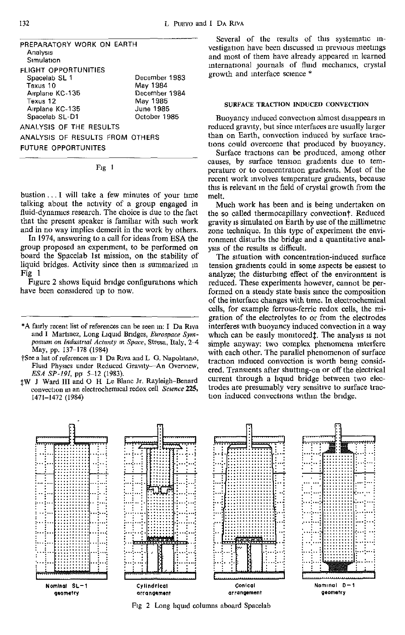PREPARATORY WORK ON EARTH Analysis Simulation FLIGHT OPPORTUNITIES Spacelab SL 1 Texus 10 Airplane KC-135 Texus 12 Airplane KC-135 Spacelab SL-D1 ANALYSIS OF THE RESULTS ANALYSIS OF RESULTS FROM OTHERS FUTURE OPPORTUNITES December 1 983 May 1984 December 1984 May 1985 June 1985 October 1985

Fig I

bustion... T will take a few minutes of your time talking about the activity of a group engaged in fluid-dynamics research. The choice is due to the fact that the present speaker is familiar with such work and in no way implies demerit in the work by others.

In 1974, answering to a call for ideas from ESA the group proposed an experiment, to be performed on board the Spacelab 1st mission, on the stability of liquid bridges. Activity since then is summarized m Fig 1

Figure 2 shows liquid bridge configurations which have been considered up to now.

- \*A fairly recent list of references can be seen in: I Da Riva and I Martinez, Long Liquid Bridges, *Eurospace Symposium on Industrial Activity m Space,* Stresa, Italy, 2-4 May, pp. 137-178 (1984)
- fSee a list of references in-1 Da Riva and L G. Napohtano, Fluid Physics under Reduced Gravity-—An Overview, *ESA SP-191,* pp 5-12 (1983).
- JW J Ward III and O H Le Blanc Jr. Rayleigh-Benard convection in an electrochemical redox cell *Science* 225, 1471-1472 (1984)

Several of the results of this systematic investigation have been discussed m previous meetings and most of them have already appeared in learned international journals of fluid mechanics, crystal growth and interface science \*

## SURFACE TRACTION INDUCED CONVECTION

Buoyancy induced convection almost disappears in reduced gravity, but since interfaces are usually larger than on Earth, convection induced by surface tractions could overcome that produced by buoyancy.

Surface tractions can be produced, among other causes, by surface tension gradients due to temperature or to concentration gradients. Most of the recent work involves temperature gradients, because this is relevant in the field of crystal growth from the melt.

Much work has been and is being undertaken on the so called thermocapillary convectionf. Reduced gravity is simulated on Earth by use of the millimetric zone technique. In this type of experiment the environment disturbs the bridge and a quantitative analysis of the results is difficult.

The situation with concentration-induced surface tension gradients could in some aspects be easiest to analyze; the disturbing effect of the environment is reduced. These experiments however, cannot be performed on a steady state basis since the composition of the interface changes with time. In electrochemical cells, for example ferrous-ferric redox cells, the migration of the electrolytes to or from the electrodes interferes with buoyancy induced convection in a way which can be easily monitored $\ddagger$ . The analysis is not simple anyway: two complex phenomena interfere with each other. The parallel phenomenon of surface traction induced convection is worth being considered. Transients after shutting-on or off the electrical current through a liquid bridge between two electrodes are presumably very sensitive to surface traction induced convections within the bridge.



Fig 2 Long liquid columns aboard Spacelab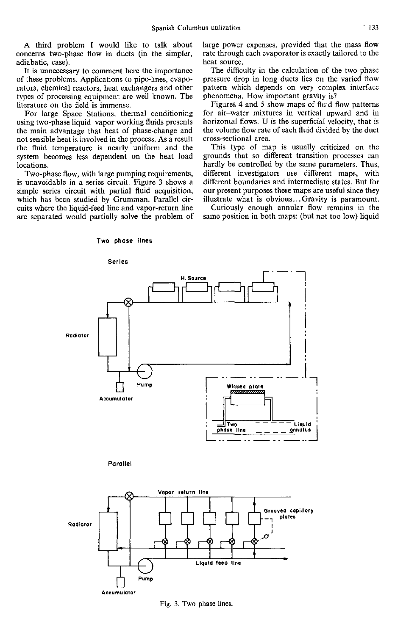A third problem I would like to talk about concerns two-phase flow in ducts (in the simpler, adiabatic, case).

It is unnecessary to comment here the importance of these problems. Applications to pipe-iines, evaporators, chemical reactors, heat exchangers and other types of processing equipment are well known. The literature on the field is immense.

For large Space Stations, thermal conditioning using two-phase liquid-vapor working fluids presents the main advantage that heat of phase-change and not sensible heat is involved in the process. As a result the fluid temperature is nearly uniform and the system becomes less dependent on the heat load locations.

Two-phase flow, with large pumping requirements, is unavoidable in a series circuit. Figure 3 shows a simple series circuit with partial fluid acquisition, which has been studied by Grumman. Parallel circuits where the liquid-feed line and vapor-return line are separated would partially solve the problem of

Two phase lines

large power expenses, provided that the mass flow rate through each evaporator is exactly tailored to the heat source.

The difficulty in the calculation of the two-phase pressure drop in long ducts lies on the varied flow pattern which depends on very complex interface phenomena. How important gravity is?

Figures 4 and 5 show maps of fluid flow patterns for air-water mixtures in vertical upward and in horizontal flows. U is the superficial velocity, that is the volume flow rate of each fluid divided by the duct cross-sectional area.

This type of map is usually criticized on the grounds that so different transition processes can hardly be controlled by the same parameters. Thus, different investigators use different maps, with different boundaries and intermediate states. But for our present purposes these maps are useful since they illustrate what is obvious... Gravity is paramount.

Curiously enough annular flow remains in the same position in both maps: (but not too low) liquid



Fig. 3. Two phase lines.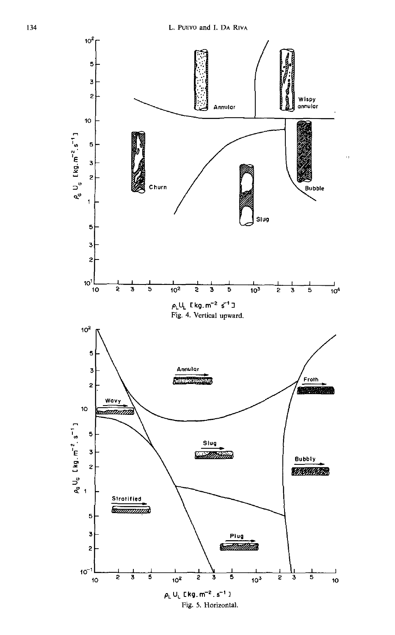